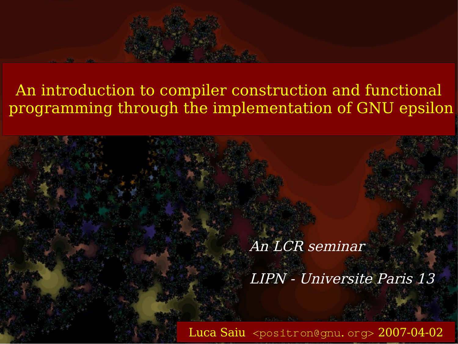### An introduction to compiler construction and functional programming through the implementation of GNU epsilon

# An LCR seminar LIPN - Universite Paris 13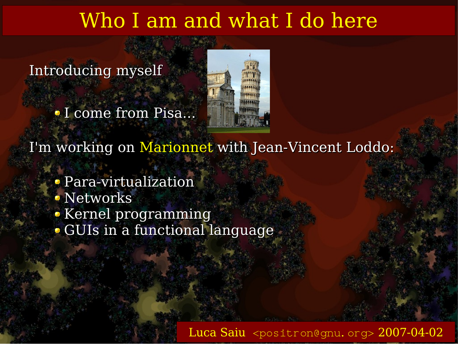# Who I am and what I do here

Introducing myself

**I** come from Pisa...



I'm working on Marionnet with Jean-Vincent Loddo:

- Para-virtualization
- **Networks**
- Kernel programming
- GUIs in a functional language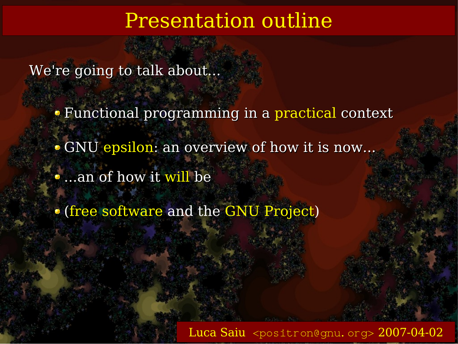## Presentation outline

We're going to talk about...

• Functional programming in a practical context

**GNU** epsilon: an overview of how it is now...

**...an of how it will be** 

(free software and the GNU Project)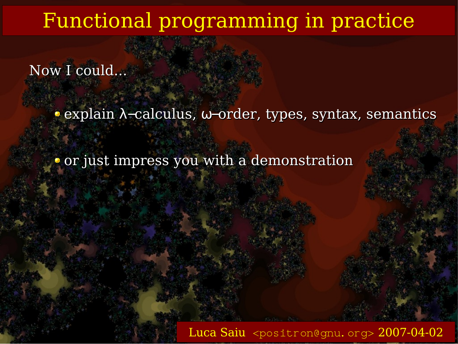## Functional programming in practice

Now I could...

• explain λ–calculus, ω–order, types, syntax, semantics

• or just impress you with a demonstration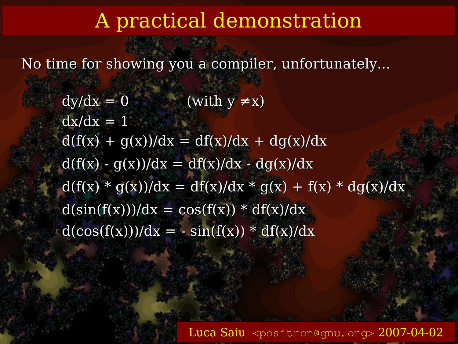## A practical demonstration

No time for showing you a compiler, unfortunately...

 $dy/dx = 0$  (with  $y \neq x$ )  $dx/dx = 1$  $d(f(x) + g(x))/dx = df(x)/dx + dg(x)/dx$  $d(f(x) - g(x))/dx = df(x)/dx - dg(x)/dx$  $d(f(x) * g(x))/dx = df(x)/dx * g(x) + f(x) * dg(x)/dx$  $d(sin(f(x)))/dx = cos(f(x)) * df(x)/dx$  $d(\cos(f(x)))/dx = -\sin(f(x)) * df(x)/dx$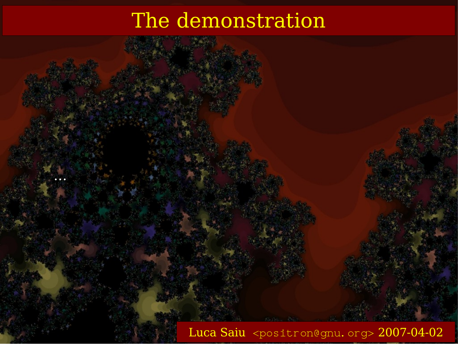## The demonstration

...

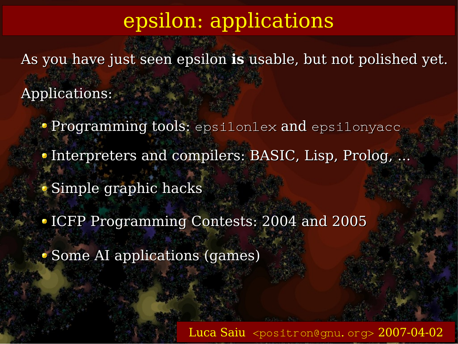# epsilon: applications

As you have just seen epsilon **is** usable, but not polished yet. Applications:

- **Programming tools:** epsilonlex and epsilonyacc
- Interpreters and compilers: BASIC, Lisp, Prolog, ...
	- Simple graphic hacks
- ICFP Programming Contests: 2004 and 2005
- Some AI applications (games)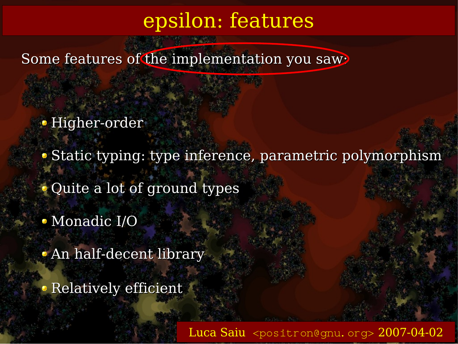# epsilon: features

Some features of the implementation you saw:

• Higher-order

Static typing: type inference, parametric polymorphism

Quite a lot of ground types

Monadic I/O

• An half-decent library

Relatively efficient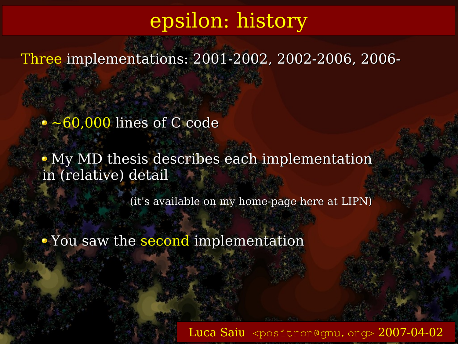## epsilon: history

Three implementations: 2001-2002, 2002-2006, 2006-

• ~60,000 lines of C code

 $\bullet$  My MD thesis describes each implementation in (relative) detail

(it's available on my home-page here at LIPN)

• You saw the second implementation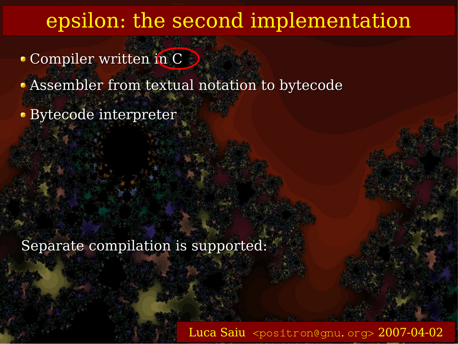## epsilon: the second implementation

- Compiler written in C
- Assembler from textual notation to bytecode
- Bytecode interpreter

Separate compilation is supported: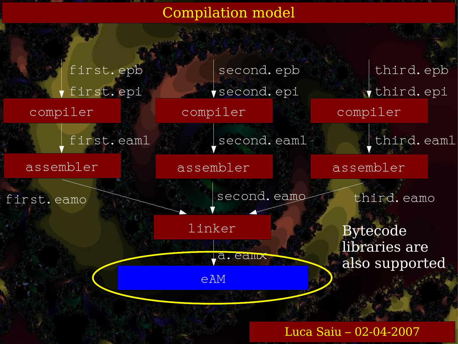### Compilation model



Luca Saiu – 02-04-2007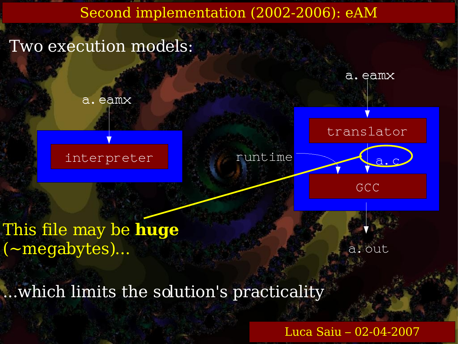### Second implementation (2002-2006): eAM

### Two execution models:

a.eamx a.eamx

interpreter

runtime

translator

a.eamx

**GCC** 

a.out

This file may be **huge** (~megabytes)...

...which limits the solution's practicality

#### Luca Saiu – 02-04-2007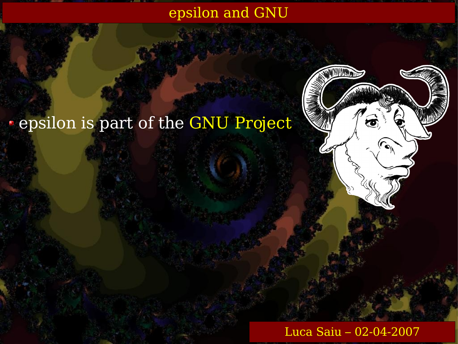### epsilon and GNU

## epsilon is part of the GNU Project

#### Luca Saiu – 02-04-2007

WWWW.

 $\widehat{\bullet}$ 

 $\widehat{\mathcal{C}}$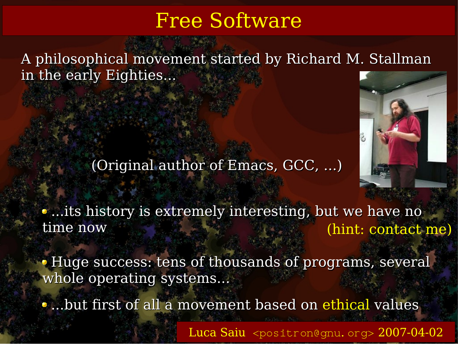## Free Software

A philosophical movement started by Richard M. Stallman in the early Eighties...



(Original author of Emacs, GCC, ...)

**...its history is extremely interesting, but we have no** time now some that the contact me)

• Huge success: tens of thousands of programs, several whole operating systems...

...but first of all a movement based on ethical values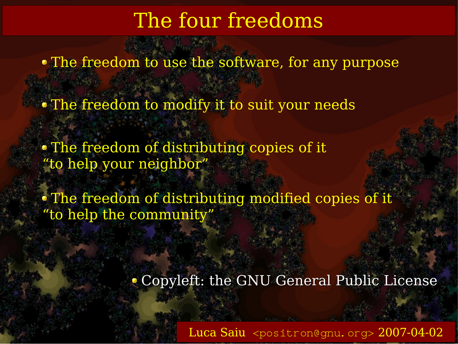## The four freedoms

• The freedom to use the software, for any purpose

• The freedom to modify it to suit your needs

The freedom of distributing copies of it "to help your neighbor"

The freedom of distributing modified copies of it "to help the community

• Copyleft: the GNU General Public License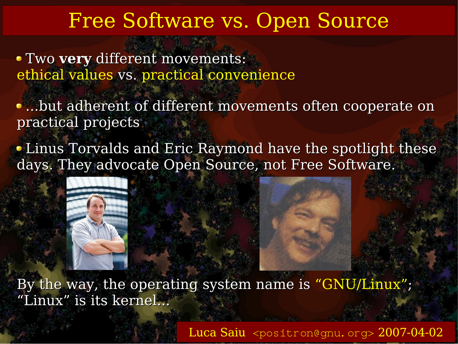## Free Software vs. Open Source

Two **very** different movements: ethical values vs. practical convenience

...but adherent of different movements often cooperate on practical projects

Linus Torvalds and Eric Raymond have the spotlight these days. They advocate Open Source, not Free Software.



By the way, the operating system name is "GNU/Linux"; "Linux" is its kernel...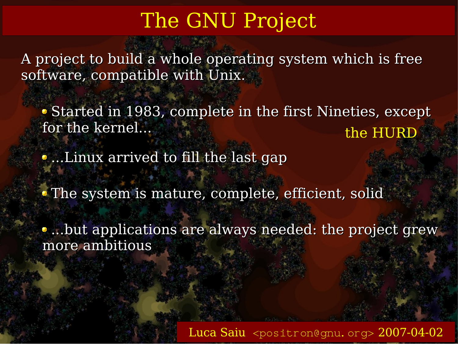# The GNU Project

A project to build a whole operating system which is free software, compatible with Unix.

• Started in 1983, complete in the first Nineties, except for the kernel... the HURD

- ...Linux arrived to fill the last gap
- The system is mature, complete, efficient, solid

**...but applications are always needed: the project grew** more ambitious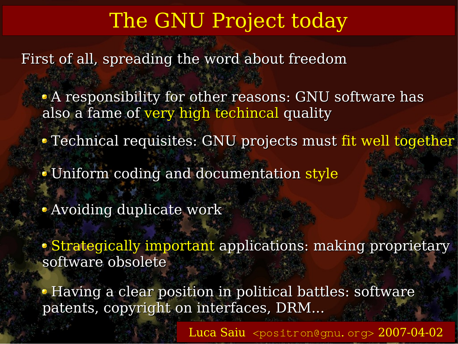## The GNU Project today

First of all, spreading the word about freedom

• A responsibility for other reasons: GNU software has also a fame of very high techincal quality

• Technical requisites: GNU projects must fit well together

• Uniform coding and documentation style

• Avoiding duplicate work

• Strategically important applications: making proprietary software obsolete

• Having a clear position in political battles: software patents, copyright on interfaces, DRM...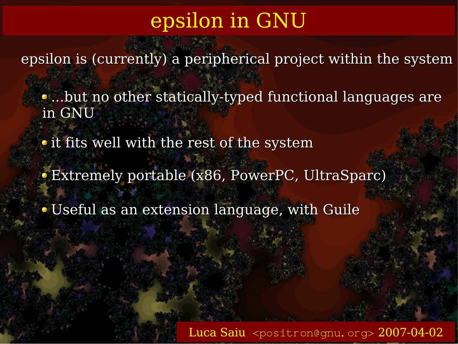# epsilon in GNU

epsilon is (currently) a peripherical project within the system

- ...but no other statically-typed functional languages are in GNU
- it fits well with the rest of the system
- Extremely portable (x86, PowerPC, UltraSparc)
- Useful as an extension language, with Guile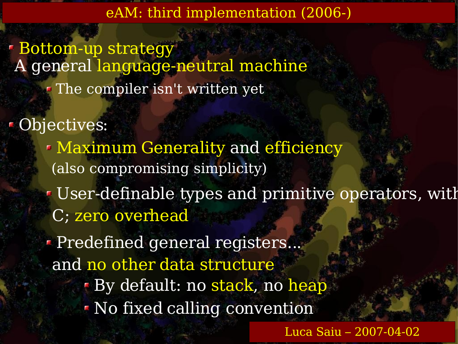### eAM: third implementation (2006-)

Bottom-up strategy: A general language-neutral machine The compiler isn't written yet

**C**bjectives:

Maximum Generality and efficiency (also compromising simplicity)

**User-definable types and primitive operators, with** C; zero overhead

Predefined general registers... and no other data structure By default: no stack, no heap No fixed calling convention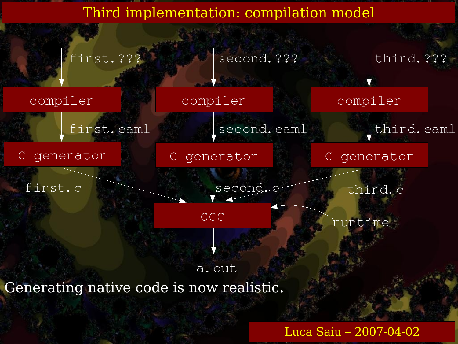### Third implementation: compilation model

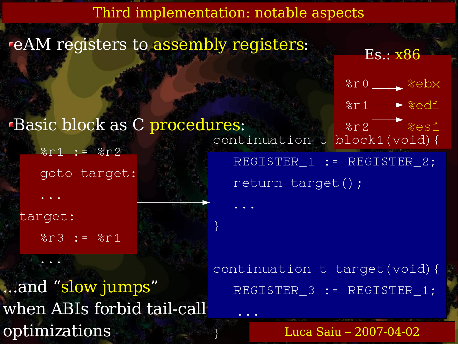### Third implementation: notable aspects

...

...

}

}

eAM registers to assembly registers:

### Basic block as C procedures:

 $8r1 :$   $=$   $8r2$ goto target:

target:

...

%r3 := %r1

...and "slow jumps" when ABIs forbid tail-call optimizations

%r2 %esi continuation\_t block1(void){ REGISTER\_1 := REGISTER\_2; return target();

Es.: x86

%r0 %ebx

 $8r1 \longrightarrow$  %edi

continuation\_t target(void){ REGISTER\_3 := REGISTER\_1;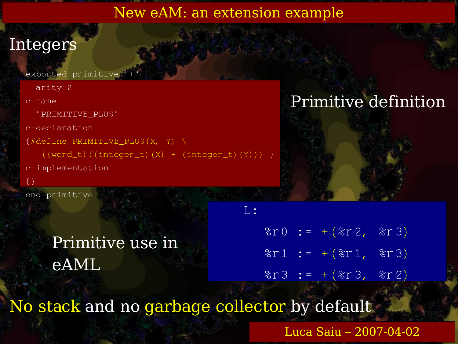### New eAM: an extension example

### Integers

#### exported primitive "

arity 2

c-name

"PRIMITIVE\_PLUS"

c-declaration

```
{#define PRIMITIVE_PLUS(X, Y) \
```

```
 ((word_t)((integer_t)(X) + (integer_t)(Y))) }
```
c-implementation

end primitive

## Primitive definition

#### L:

Primitive use in eAML

 $8r0 := +(8r2, 8r3)$  $8r1 := +(8r1, 8r3)$  $8r3 := +(8r3, 8r2)$ 

No stack and no garbage collector by default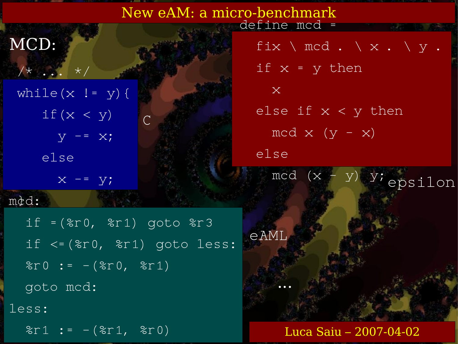#### New eAM: a micro-benchmark define mcd =

### MCD:

m¢d:

 $/\star$  ...  $\star$ 

while  $(x | = y)$  {  $if(x < y)$  $y = x;$ else  $x = \overline{y}$ ;

fix  $\setminus$  mcd .  $\setminus$  x .  $\setminus$  y . if x = y then x else if x < y then  $mcd \times (y - x)$ else

 $\texttt{mcd}$  (x - y) y; epsilon

if =(%r0, %r1) goto %r3 if <=(%r0, %r1) goto less:  $\Sigma$ r0 :=  $-(\$ r0,  $\Sigma$ r1) goto mcd: less:  $8r1 := -(8r1, 8r0)$ 

C



Luca Saiu – 2007-04-02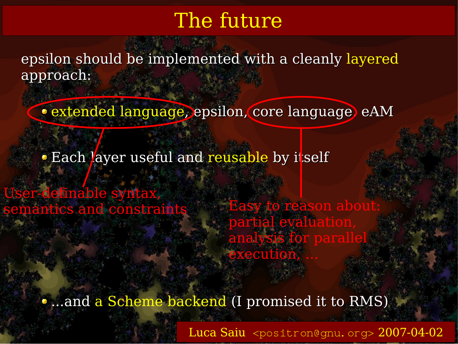## The future

epsilon should be implemented with a cleanly layered approach:

extended language, epsilon, core language, eAM

• Each layer useful and reusable by itself

User-definable syntax, semantics and constraints Easy to reason abo

partial evaluation, analysis for execution

**...and a Scheme backend (I promised it to RMS)**